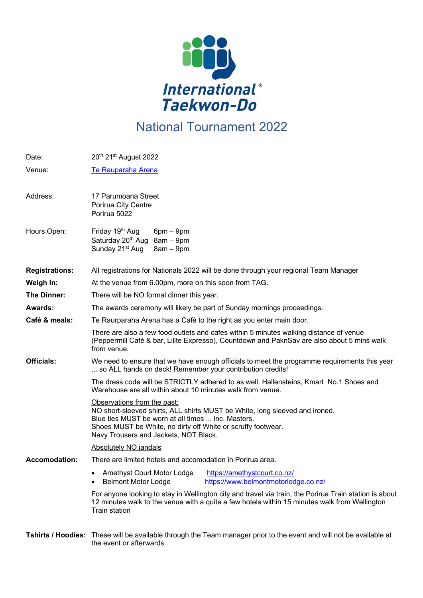

## National Tournament 2022

| Date:                 | 20th 21st August 2022                                                                                                                                                                                                                                                     |  |  |
|-----------------------|---------------------------------------------------------------------------------------------------------------------------------------------------------------------------------------------------------------------------------------------------------------------------|--|--|
| Venue:                | Te Rauparaha Arena                                                                                                                                                                                                                                                        |  |  |
| Address:              | 17 Parumoana Street<br>Porirua City Centre<br>Porirua 5022                                                                                                                                                                                                                |  |  |
| Hours Open:           | Friday 19th Aug<br>$6pm - 9pm$<br>Saturday 20 <sup>th</sup> Aug 8am - 9pm<br>Sunday 21 <sup>st</sup> Aug<br>$8am - 9pm$                                                                                                                                                   |  |  |
| <b>Registrations:</b> | All registrations for Nationals 2022 will be done through your regional Team Manager                                                                                                                                                                                      |  |  |
| Weigh In:             | At the venue from 6.00pm, more on this soon from TAG.                                                                                                                                                                                                                     |  |  |
| The Dinner:           | There will be NO formal dinner this year.                                                                                                                                                                                                                                 |  |  |
| Awards:               | The awards ceremony will likely be part of Sunday mornings proceedings.                                                                                                                                                                                                   |  |  |
| Café & meals:         | Te Raurparaha Arena has a Café to the right as you enter main door.                                                                                                                                                                                                       |  |  |
|                       | There are also a few food outlets and cafes within 5 minutes walking distance of venue<br>(Peppermill Café & bar, Lillte Expresso), Countdown and PaknSav are also about 5 mins walk<br>from venue.                                                                       |  |  |
| <b>Officials:</b>     | We need to ensure that we have enough officials to meet the programme requirements this year<br>so ALL hands on deck! Remember your contribution credits!                                                                                                                 |  |  |
|                       | The dress code will be STRICTLY adhered to as well. Hallensteins, Kmart No.1 Shoes and<br>Warehouse are all within about 10 minutes walk from venue.                                                                                                                      |  |  |
|                       | Observations from the past:<br>NO short-sleeved shirts, ALL shirts MUST be White, long sleeved and ironed.<br>Blue ties MUST be worn at all times  inc. Masters.<br>Shoes MUST be White, no dirty off White or scruffy footwear.<br>Navy Trousers and Jackets, NOT Black. |  |  |
|                       | <b>Absolutely NO jandals</b>                                                                                                                                                                                                                                              |  |  |
| <b>Accomodation:</b>  | There are limited hotels and accomodation in Porirua area.                                                                                                                                                                                                                |  |  |
|                       | Amethyst Court Motor Lodge<br>https://amethystcourt.co.nz/<br>$\bullet$<br>https://www.belmontmotorlodge.co.nz/<br><b>Belmont Motor Lodge</b><br>$\bullet$                                                                                                                |  |  |
|                       | For anyone looking to stay in Wellington city and travel via train, the Porirua Train station is about<br>12 minutes walk to the venue with a quite a few hotels within 15 minutes walk from Wellington<br>Train station                                                  |  |  |

**Tshirts / Hoodies:** These will be available through the Team manager prior to the event and will not be available at the event or afterwards